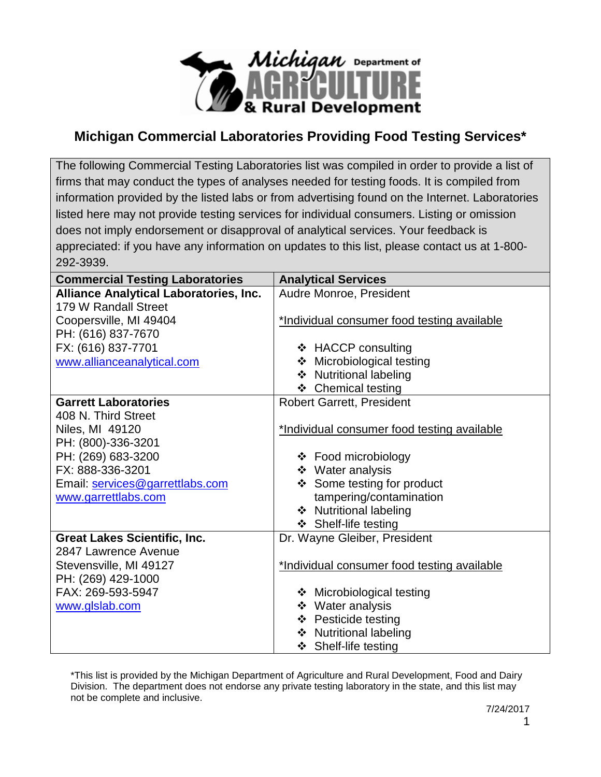

## **Michigan Commercial Laboratories Providing Food Testing Services\***

The following Commercial Testing Laboratories list was compiled in order to provide a list of firms that may conduct the types of analyses needed for testing foods. It is compiled from information provided by the listed labs or from advertising found on the Internet. Laboratories listed here may not provide testing services for individual consumers. Listing or omission does not imply endorsement or disapproval of analytical services. Your feedback is appreciated: if you have any information on updates to this list, please contact us at 1-800- 292-3939.

| <b>Commercial Testing Laboratories</b> | <b>Analytical Services</b>                  |
|----------------------------------------|---------------------------------------------|
| Alliance Analytical Laboratories, Inc. | Audre Monroe, President                     |
| 179 W Randall Street                   |                                             |
| Coopersville, MI 49404                 | *Individual consumer food testing available |
| PH: (616) 837-7670                     |                                             |
| FX: (616) 837-7701                     | ❖ HACCP consulting                          |
| www.allianceanalytical.com             | ❖ Microbiological testing                   |
|                                        | ❖ Nutritional labeling                      |
|                                        | ❖ Chemical testing                          |
| <b>Garrett Laboratories</b>            | <b>Robert Garrett, President</b>            |
| 408 N. Third Street                    |                                             |
| Niles, MI 49120                        | *Individual consumer food testing available |
| PH: (800)-336-3201                     |                                             |
| PH: (269) 683-3200                     | ❖ Food microbiology                         |
| FX: 888-336-3201                       | ❖ Water analysis                            |
| Email: services@garrettlabs.com        | ❖ Some testing for product                  |
| www.garrettlabs.com                    | tampering/contamination                     |
|                                        | ❖ Nutritional labeling                      |
|                                        | ❖ Shelf-life testing                        |
| <b>Great Lakes Scientific, Inc.</b>    | Dr. Wayne Gleiber, President                |
| 2847 Lawrence Avenue                   |                                             |
| Stevensville, MI 49127                 | *Individual consumer food testing available |
| PH: (269) 429-1000                     |                                             |
| FAX: 269-593-5947                      | ❖ Microbiological testing                   |
| www.glslab.com                         | ❖ Water analysis                            |
|                                        | ❖ Pesticide testing                         |
|                                        | ❖ Nutritional labeling                      |
|                                        | ❖ Shelf-life testing                        |

\*This list is provided by the Michigan Department of Agriculture and Rural Development, Food and Dairy Division. The department does not endorse any private testing laboratory in the state, and this list may not be complete and inclusive.